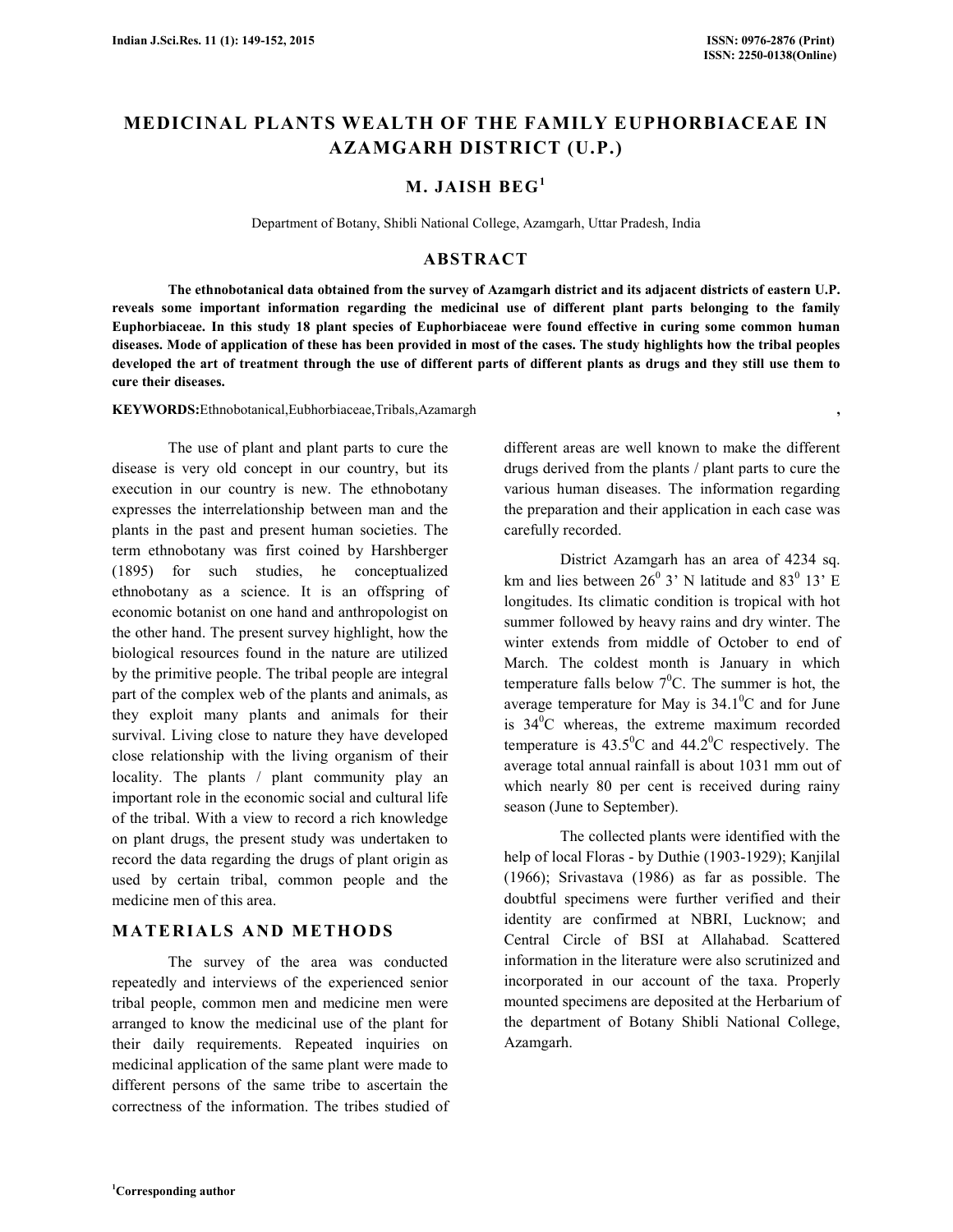# **MEDICINAL PLANTS WEALTH OF THE FAMILY EUPHORBIACEAE IN AZAMGARH DISTRICT (U.P.)**

## **M. JAISH BEG<sup>1</sup>**

Department of Botany, Shibli National College, Azamgarh, Uttar Pradesh, India

#### **ABSTRACT**

 **The ethnobotanical data obtained from the survey of Azamgarh district and its adjacent districts of eastern U.P. reveals some important information regarding the medicinal use of different plant parts belonging to the family Euphorbiaceae. In this study 18 plant species of Euphorbiaceae were found effective in curing some common human diseases. Mode of application of these has been provided in most of the cases. The study highlights how the tribal peoples developed the art of treatment through the use of different parts of different plants as drugs and they still use them to cure their diseases.** 

**KEYWORDS:**Ethnobotanical,Eubhorbiaceae,Tribals,Azamargh **,**

 The use of plant and plant parts to cure the disease is very old concept in our country, but its execution in our country is new. The ethnobotany expresses the interrelationship between man and the plants in the past and present human societies. The term ethnobotany was first coined by Harshberger (1895) for such studies, he conceptualized ethnobotany as a science. It is an offspring of economic botanist on one hand and anthropologist on the other hand. The present survey highlight, how the biological resources found in the nature are utilized by the primitive people. The tribal people are integral part of the complex web of the plants and animals, as they exploit many plants and animals for their survival. Living close to nature they have developed close relationship with the living organism of their locality. The plants / plant community play an important role in the economic social and cultural life of the tribal. With a view to record a rich knowledge on plant drugs, the present study was undertaken to record the data regarding the drugs of plant origin as used by certain tribal, common people and the medicine men of this area.

#### **M A T E RI A LS A ND M E TH O DS**

The survey of the area was conducted repeatedly and interviews of the experienced senior tribal people, common men and medicine men were arranged to know the medicinal use of the plant for their daily requirements. Repeated inquiries on medicinal application of the same plant were made to different persons of the same tribe to ascertain the correctness of the information. The tribes studied of different areas are well known to make the different drugs derived from the plants / plant parts to cure the various human diseases. The information regarding the preparation and their application in each case was carefully recorded.

District Azamgarh has an area of 4234 sq. km and lies between  $26^{\circ}$  3' N latitude and 83 $^{\circ}$  13' E longitudes. Its climatic condition is tropical with hot summer followed by heavy rains and dry winter. The winter extends from middle of October to end of March. The coldest month is January in which temperature falls below  $7^0C$ . The summer is hot, the average temperature for May is  $34.1^{\circ}$ C and for June is  $34^{\circ}$ C whereas, the extreme maximum recorded temperature is  $43.5^{\circ}$ C and  $44.2^{\circ}$ C respectively. The average total annual rainfall is about 1031 mm out of which nearly 80 per cent is received during rainy season (June to September).

The collected plants were identified with the help of local Floras - by Duthie (1903-1929); Kanjilal (1966); Srivastava (1986) as far as possible. The doubtful specimens were further verified and their identity are confirmed at NBRI, Lucknow; and Central Circle of BSI at Allahabad. Scattered information in the literature were also scrutinized and incorporated in our account of the taxa. Properly mounted specimens are deposited at the Herbarium of the department of Botany Shibli National College, Azamgarh.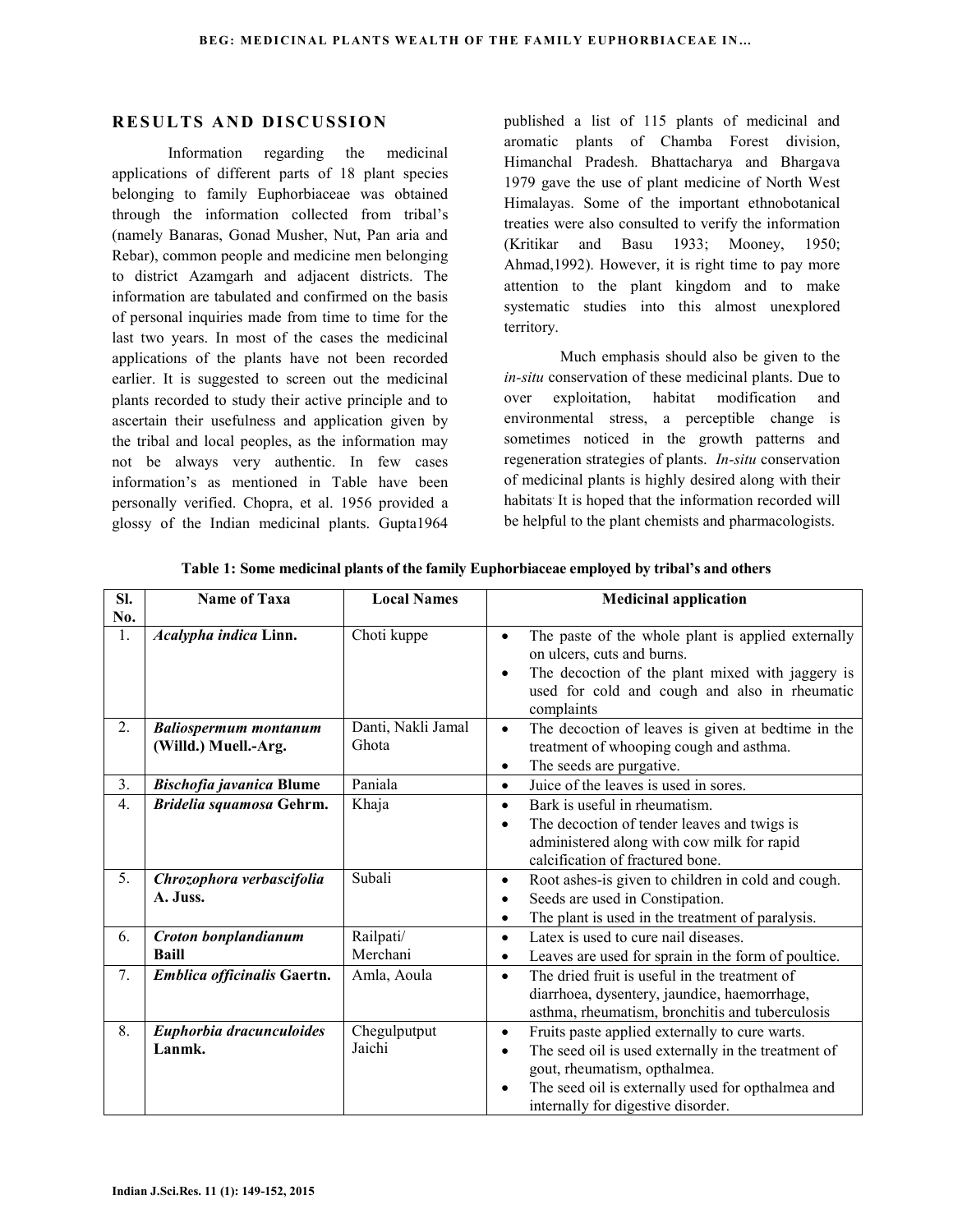### **RESULTS AND DISCUSSION**

 Information regarding the medicinal applications of different parts of 18 plant species belonging to family Euphorbiaceae was obtained through the information collected from tribal's (namely Banaras, Gonad Musher, Nut, Pan aria and Rebar), common people and medicine men belonging to district Azamgarh and adjacent districts. The information are tabulated and confirmed on the basis of personal inquiries made from time to time for the last two years. In most of the cases the medicinal applications of the plants have not been recorded earlier. It is suggested to screen out the medicinal plants recorded to study their active principle and to ascertain their usefulness and application given by the tribal and local peoples, as the information may not be always very authentic. In few cases information's as mentioned in Table have been personally verified. Chopra, et al. 1956 provided a glossy of the Indian medicinal plants. Gupta1964

published a list of 115 plants of medicinal and aromatic plants of Chamba Forest division, Himanchal Pradesh. Bhattacharya and Bhargava 1979 gave the use of plant medicine of North West Himalayas. Some of the important ethnobotanical treaties were also consulted to verify the information (Kritikar and Basu 1933; Mooney, 1950; Ahmad,1992). However, it is right time to pay more attention to the plant kingdom and to make systematic studies into this almost unexplored territory.

Much emphasis should also be given to the *in-situ* conservation of these medicinal plants. Due to over exploitation, habitat modification and environmental stress, a perceptible change is sometimes noticed in the growth patterns and regeneration strategies of plants. *In-situ* conservation of medicinal plants is highly desired along with their habitats. It is hoped that the information recorded will be helpful to the plant chemists and pharmacologists.

| Sl.              | Name of Taxa                    | <b>Local Names</b> | <b>Medicinal application</b>                                                                                                                                                                                                  |
|------------------|---------------------------------|--------------------|-------------------------------------------------------------------------------------------------------------------------------------------------------------------------------------------------------------------------------|
| No.              |                                 |                    |                                                                                                                                                                                                                               |
| 1.               | Acalypha indica Linn.           | Choti kuppe        | The paste of the whole plant is applied externally<br>$\bullet$<br>on ulcers, cuts and burns.<br>The decoction of the plant mixed with jaggery is<br>$\bullet$<br>used for cold and cough and also in rheumatic<br>complaints |
| 2.               | <b>Baliospermum montanum</b>    | Danti, Nakli Jamal | The decoction of leaves is given at bedtime in the<br>$\bullet$                                                                                                                                                               |
|                  | (Willd.) Muell.-Arg.            | Ghota              | treatment of whooping cough and asthma.                                                                                                                                                                                       |
|                  |                                 |                    | The seeds are purgative.<br>$\bullet$                                                                                                                                                                                         |
| 3.               | <b>Bischofia javanica Blume</b> | Paniala            | Juice of the leaves is used in sores.<br>$\bullet$                                                                                                                                                                            |
| 4.               | Bridelia squamosa Gehrm.        | Khaja              | Bark is useful in rheumatism.<br>$\bullet$                                                                                                                                                                                    |
|                  |                                 |                    | The decoction of tender leaves and twigs is<br>$\bullet$<br>administered along with cow milk for rapid<br>calcification of fractured bone.                                                                                    |
| 5.               | Chrozophora verbascifolia       | Subali             | Root ashes-is given to children in cold and cough.<br>$\bullet$                                                                                                                                                               |
|                  | A. Juss.                        |                    | Seeds are used in Constipation.<br>$\bullet$                                                                                                                                                                                  |
|                  |                                 |                    | The plant is used in the treatment of paralysis.<br>$\bullet$                                                                                                                                                                 |
| 6.               | Croton bonplandianum            | Railpati/          | Latex is used to cure nail diseases.<br>$\bullet$                                                                                                                                                                             |
|                  | <b>Baill</b>                    | Merchani           | Leaves are used for sprain in the form of poultice.<br>$\bullet$                                                                                                                                                              |
| $\overline{7}$ . | Emblica officinalis Gaertn.     | Amla, Aoula        | The dried fruit is useful in the treatment of<br>$\bullet$<br>diarrhoea, dysentery, jaundice, haemorrhage,<br>asthma, rheumatism, bronchitis and tuberculosis                                                                 |
| 8.               | Euphorbia dracunculoides        | Chegulputput       | Fruits paste applied externally to cure warts.<br>$\bullet$                                                                                                                                                                   |
|                  | Lanmk.                          | Jaichi             | The seed oil is used externally in the treatment of<br>$\bullet$                                                                                                                                                              |
|                  |                                 |                    | gout, rheumatism, opthalmea.                                                                                                                                                                                                  |
|                  |                                 |                    | The seed oil is externally used for opthalmea and<br>$\bullet$                                                                                                                                                                |
|                  |                                 |                    | internally for digestive disorder.                                                                                                                                                                                            |

**Table 1: Some medicinal plants of the family Euphorbiaceae employed by tribal's and others**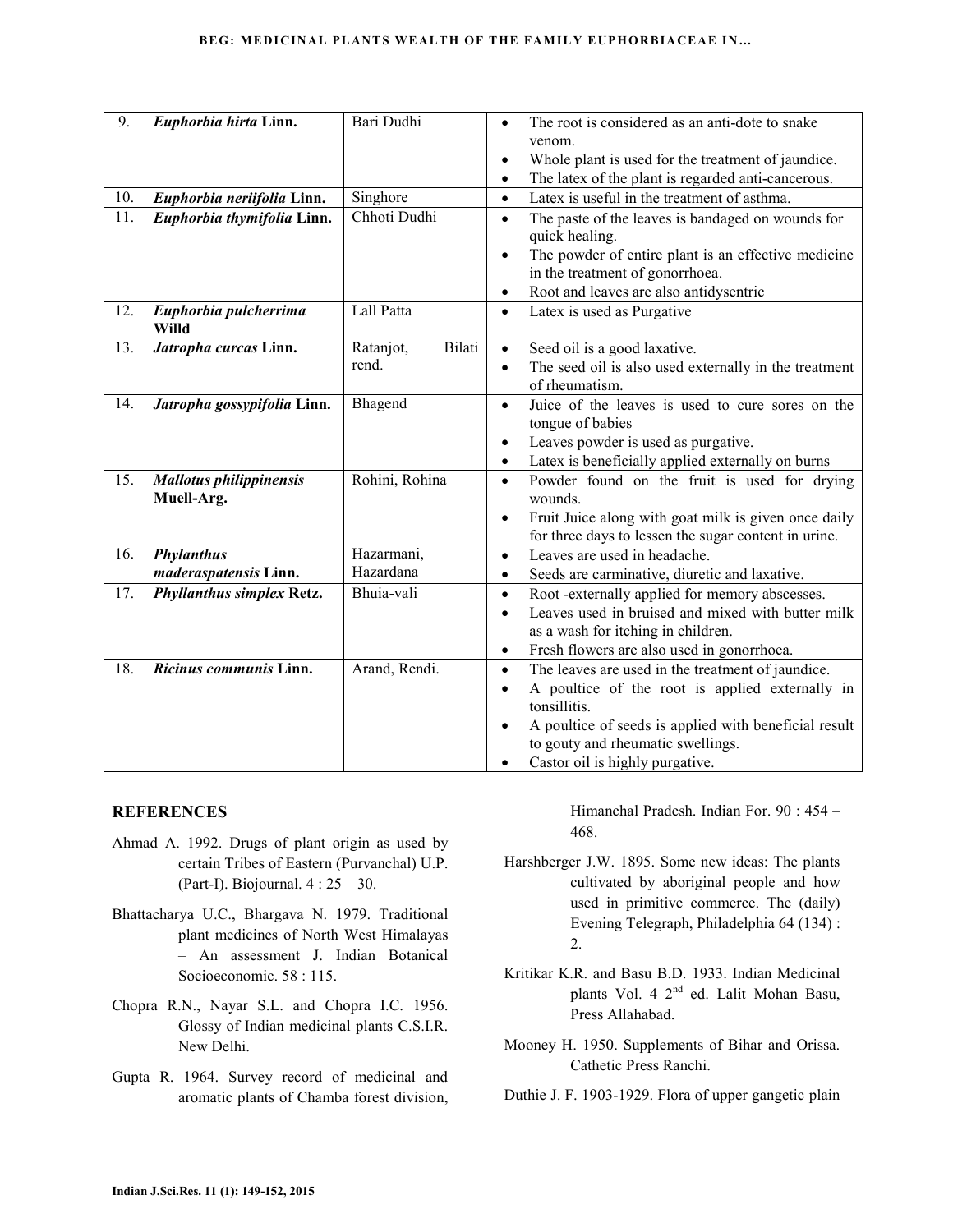| $\overline{9}$ . | Euphorbia hirta Linn.          | Bari Dudhi          | The root is considered as an anti-dote to snake<br>$\bullet$                     |
|------------------|--------------------------------|---------------------|----------------------------------------------------------------------------------|
|                  |                                |                     | venom.                                                                           |
|                  |                                |                     | Whole plant is used for the treatment of jaundice.<br>$\bullet$                  |
|                  |                                |                     | The latex of the plant is regarded anti-cancerous.<br>$\bullet$                  |
| 10.              | Euphorbia neriifolia Linn.     | Singhore            | Latex is useful in the treatment of asthma.<br>$\bullet$                         |
| 11.              | Euphorbia thymifolia Linn.     | Chhoti Dudhi        | The paste of the leaves is bandaged on wounds for<br>$\bullet$<br>quick healing. |
|                  |                                |                     | The powder of entire plant is an effective medicine<br>$\bullet$                 |
|                  |                                |                     | in the treatment of gonorrhoea.                                                  |
|                  |                                |                     | Root and leaves are also antidysentric<br>$\bullet$                              |
| 12.              | Euphorbia pulcherrima<br>Willd | Lall Patta          | Latex is used as Purgative<br>$\bullet$                                          |
| 13.              | Jatropha curcas Linn.          | Bilati<br>Ratanjot, | Seed oil is a good laxative.<br>$\bullet$                                        |
|                  |                                | rend.               | The seed oil is also used externally in the treatment<br>$\bullet$               |
|                  |                                |                     | of rheumatism.                                                                   |
| 14.              | Jatropha gossypifolia Linn.    | Bhagend             | Juice of the leaves is used to cure sores on the<br>$\bullet$                    |
|                  |                                |                     | tongue of babies                                                                 |
|                  |                                |                     | Leaves powder is used as purgative.<br>$\bullet$                                 |
|                  |                                |                     | Latex is beneficially applied externally on burns<br>$\bullet$                   |
| 15.              | <b>Mallotus philippinensis</b> | Rohini, Rohina      | Powder found on the fruit is used for drying<br>$\bullet$                        |
|                  | Muell-Arg.                     |                     | wounds.                                                                          |
|                  |                                |                     | Fruit Juice along with goat milk is given once daily<br>$\bullet$                |
|                  |                                |                     | for three days to lessen the sugar content in urine.                             |
| 16.              | <b>Phylanthus</b>              | Hazarmani,          | Leaves are used in headache.<br>$\bullet$                                        |
|                  | maderaspatensis Linn.          | Hazardana           | Seeds are carminative, diuretic and laxative.<br>$\bullet$                       |
| 17.              | Phyllanthus simplex Retz.      | Bhuia-vali          | Root-externally applied for memory abscesses.<br>$\bullet$                       |
|                  |                                |                     | Leaves used in bruised and mixed with butter milk<br>$\bullet$                   |
|                  |                                |                     | as a wash for itching in children.                                               |
|                  |                                |                     | Fresh flowers are also used in gonorrhoea.<br>$\bullet$                          |
| 18.              | Ricinus communis Linn.         | Arand, Rendi.       | The leaves are used in the treatment of jaundice.<br>$\bullet$                   |
|                  |                                |                     | A poultice of the root is applied externally in<br>$\bullet$                     |
|                  |                                |                     | tonsillitis.                                                                     |
|                  |                                |                     | A poultice of seeds is applied with beneficial result<br>$\bullet$               |
|                  |                                |                     | to gouty and rheumatic swellings.                                                |
|                  |                                |                     | Castor oil is highly purgative.                                                  |

### **REFERENCES**

- Ahmad A. 1992. Drugs of plant origin as used by certain Tribes of Eastern (Purvanchal) U.P. (Part-I). Biojournal. 4 : 25 – 30.
- Bhattacharya U.C., Bhargava N. 1979. Traditional plant medicines of North West Himalayas – An assessment J. Indian Botanical Socioeconomic. 58 : 115.
- Chopra R.N., Nayar S.L. and Chopra I.C. 1956. Glossy of Indian medicinal plants C.S.I.R. New Delhi.
- Gupta R. 1964. Survey record of medicinal and aromatic plants of Chamba forest division,

Himanchal Pradesh. Indian For. 90 : 454 – 468.

- Harshberger J.W. 1895. Some new ideas: The plants cultivated by aboriginal people and how used in primitive commerce. The (daily) Evening Telegraph, Philadelphia 64 (134) : 2.
- Kritikar K.R. and Basu B.D. 1933. Indian Medicinal plants Vol. 4 2nd ed. Lalit Mohan Basu, Press Allahabad.
- Mooney H. 1950. Supplements of Bihar and Orissa. Cathetic Press Ranchi.

Duthie J. F. 1903-1929. Flora of upper gangetic plain